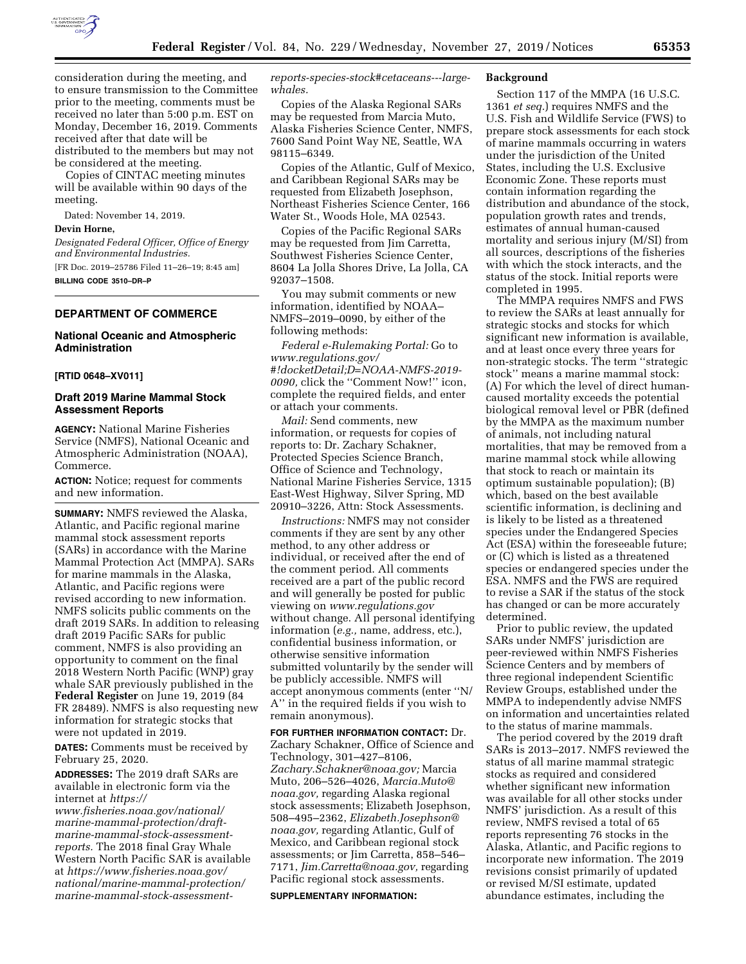

consideration during the meeting, and to ensure transmission to the Committee prior to the meeting, comments must be received no later than 5:00 p.m. EST on Monday, December 16, 2019. Comments received after that date will be distributed to the members but may not be considered at the meeting.

Copies of CINTAC meeting minutes will be available within 90 days of the meeting.

Dated: November 14, 2019.

#### **Devin Horne,**

*Designated Federal Officer, Office of Energy and Environmental Industries.* 

[FR Doc. 2019–25786 Filed 11–26–19; 8:45 am] **BILLING CODE 3510–DR–P** 

# **DEPARTMENT OF COMMERCE**

## **National Oceanic and Atmospheric Administration**

#### **[RTID 0648–XV011]**

## **Draft 2019 Marine Mammal Stock Assessment Reports**

**AGENCY:** National Marine Fisheries Service (NMFS), National Oceanic and Atmospheric Administration (NOAA), Commerce.

**ACTION:** Notice; request for comments and new information.

**SUMMARY:** NMFS reviewed the Alaska, Atlantic, and Pacific regional marine mammal stock assessment reports (SARs) in accordance with the Marine Mammal Protection Act (MMPA). SARs for marine mammals in the Alaska, Atlantic, and Pacific regions were revised according to new information. NMFS solicits public comments on the draft 2019 SARs. In addition to releasing draft 2019 Pacific SARs for public comment, NMFS is also providing an opportunity to comment on the final 2018 Western North Pacific (WNP) gray whale SAR previously published in the **Federal Register** on June 19, 2019 (84 FR 28489). NMFS is also requesting new information for strategic stocks that were not updated in 2019.

**DATES:** Comments must be received by February 25, 2020.

**ADDRESSES:** The 2019 draft SARs are available in electronic form via the internet at *[https://](https://www.fisheries.noaa.gov/national/marine-mammal-protection/draft-marine-mammal-stock-assessment-reports)*

*www.fisheries.noaa.gov/national/ marine-mammal-protection/draft[marine-mammal-stock-assessment](https://www.fisheries.noaa.gov/national/marine-mammal-protection/draft-marine-mammal-stock-assessment-reports)[reports.](https://www.fisheries.noaa.gov/national/marine-mammal-protection/draft-marine-mammal-stock-assessment-reports)* The 2018 final Gray Whale Western North Pacific SAR is available at *[https://www.fisheries.noaa.gov/](https://www.fisheries.noaa.gov/national/marine-mammal-protection/marine-mammal-stock-assessment-reports-species-stock#cetaceans---large-whales)  [national/marine-mammal-protection/](https://www.fisheries.noaa.gov/national/marine-mammal-protection/marine-mammal-stock-assessment-reports-species-stock#cetaceans---large-whales)  [marine-mammal-stock-assessment-](https://www.fisheries.noaa.gov/national/marine-mammal-protection/marine-mammal-stock-assessment-reports-species-stock#cetaceans---large-whales)* *[reports-species-stock#cetaceans---large](https://www.fisheries.noaa.gov/national/marine-mammal-protection/marine-mammal-stock-assessment-reports-species-stock#cetaceans---large-whales)[whales.](https://www.fisheries.noaa.gov/national/marine-mammal-protection/marine-mammal-stock-assessment-reports-species-stock#cetaceans---large-whales)* 

Copies of the Alaska Regional SARs may be requested from Marcia Muto, Alaska Fisheries Science Center, NMFS, 7600 Sand Point Way NE, Seattle, WA 98115–6349.

Copies of the Atlantic, Gulf of Mexico, and Caribbean Regional SARs may be requested from Elizabeth Josephson, Northeast Fisheries Science Center, 166 Water St., Woods Hole, MA 02543.

Copies of the Pacific Regional SARs may be requested from Jim Carretta, Southwest Fisheries Science Center, 8604 La Jolla Shores Drive, La Jolla, CA 92037–1508.

You may submit comments or new information, identified by NOAA– NMFS–2019–0090, by either of the following methods:

*Federal e-Rulemaking Portal:* Go to *[www.regulations.gov/](http://www.regulations.gov/#!docketDetail;D=NOAA-NMFS-2019-0090) [#!docketDetail;D=NOAA-NMFS-2019-](http://www.regulations.gov/#!docketDetail;D=NOAA-NMFS-2019-0090) [0090,](http://www.regulations.gov/#!docketDetail;D=NOAA-NMFS-2019-0090)* click the ''Comment Now!'' icon, complete the required fields, and enter or attach your comments.

*Mail:* Send comments, new information, or requests for copies of reports to: Dr. Zachary Schakner, Protected Species Science Branch, Office of Science and Technology, National Marine Fisheries Service, 1315 East-West Highway, Silver Spring, MD 20910–3226, Attn: Stock Assessments.

*Instructions:* NMFS may not consider comments if they are sent by any other method, to any other address or individual, or received after the end of the comment period. All comments received are a part of the public record and will generally be posted for public viewing on *[www.regulations.gov](http://www.regulations.gov)*  without change. All personal identifying information (*e.g.,* name, address, etc.), confidential business information, or otherwise sensitive information submitted voluntarily by the sender will be publicly accessible. NMFS will accept anonymous comments (enter ''N/ A'' in the required fields if you wish to remain anonymous).

**FOR FURTHER INFORMATION CONTACT:** Dr. Zachary Schakner, Office of Science and Technology, 301–427–8106, *[Zachary.Schakner@noaa.gov;](mailto:Zachary.Schakner@noaa.gov)* Marcia Muto, 206–526–4026, *[Marcia.Muto@](mailto:Marcia.Muto@noaa.gov) [noaa.gov,](mailto:Marcia.Muto@noaa.gov)* regarding Alaska regional stock assessments; Elizabeth Josephson, 508–495–2362, *[Elizabeth.Josephson@](mailto:Elizabeth.Josephson@noaa.gov) [noaa.gov,](mailto:Elizabeth.Josephson@noaa.gov)* regarding Atlantic, Gulf of Mexico, and Caribbean regional stock assessments; or Jim Carretta, 858–546– 7171, *[Jim.Carretta@noaa.gov,](mailto:Jim.Carretta@noaa.gov)* regarding Pacific regional stock assessments.

#### **SUPPLEMENTARY INFORMATION:**

#### **Background**

Section 117 of the MMPA (16 U.S.C. 1361 *et seq.*) requires NMFS and the U.S. Fish and Wildlife Service (FWS) to prepare stock assessments for each stock of marine mammals occurring in waters under the jurisdiction of the United States, including the U.S. Exclusive Economic Zone. These reports must contain information regarding the distribution and abundance of the stock, population growth rates and trends, estimates of annual human-caused mortality and serious injury (M/SI) from all sources, descriptions of the fisheries with which the stock interacts, and the status of the stock. Initial reports were completed in 1995.

The MMPA requires NMFS and FWS to review the SARs at least annually for strategic stocks and stocks for which significant new information is available, and at least once every three years for non-strategic stocks. The term ''strategic stock'' means a marine mammal stock: (A) For which the level of direct humancaused mortality exceeds the potential biological removal level or PBR (defined by the MMPA as the maximum number of animals, not including natural mortalities, that may be removed from a marine mammal stock while allowing that stock to reach or maintain its optimum sustainable population); (B) which, based on the best available scientific information, is declining and is likely to be listed as a threatened species under the Endangered Species Act (ESA) within the foreseeable future; or (C) which is listed as a threatened species or endangered species under the ESA. NMFS and the FWS are required to revise a SAR if the status of the stock has changed or can be more accurately determined.

Prior to public review, the updated SARs under NMFS' jurisdiction are peer-reviewed within NMFS Fisheries Science Centers and by members of three regional independent Scientific Review Groups, established under the MMPA to independently advise NMFS on information and uncertainties related to the status of marine mammals.

The period covered by the 2019 draft SARs is 2013–2017. NMFS reviewed the status of all marine mammal strategic stocks as required and considered whether significant new information was available for all other stocks under NMFS' jurisdiction. As a result of this review, NMFS revised a total of 65 reports representing 76 stocks in the Alaska, Atlantic, and Pacific regions to incorporate new information. The 2019 revisions consist primarily of updated or revised M/SI estimate, updated abundance estimates, including the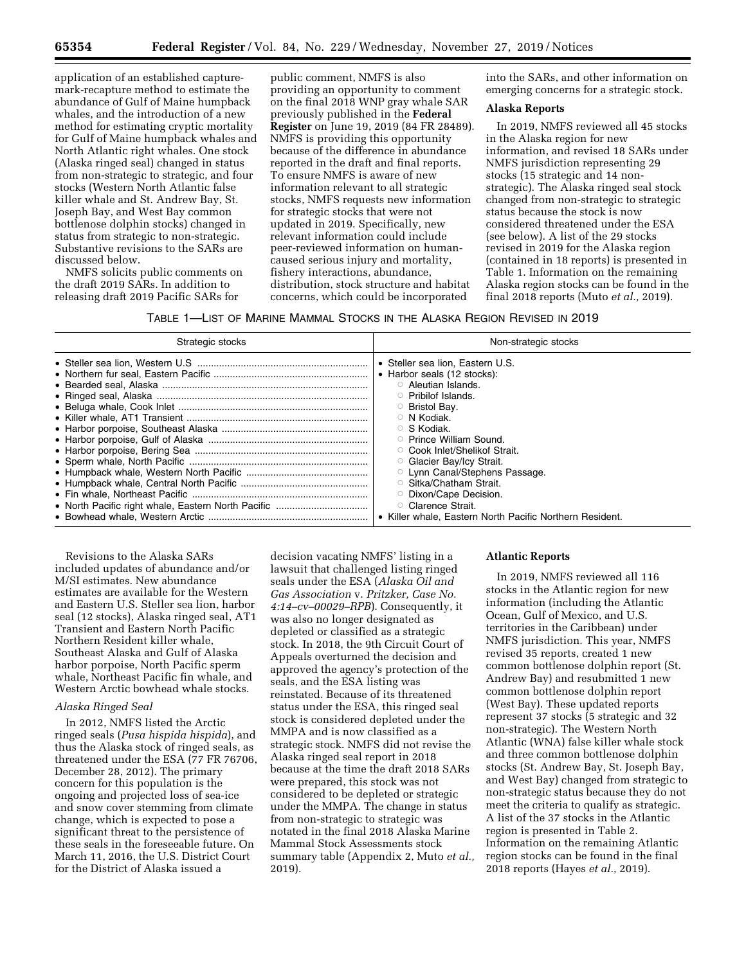application of an established capturemark-recapture method to estimate the abundance of Gulf of Maine humpback whales, and the introduction of a new method for estimating cryptic mortality for Gulf of Maine humpback whales and North Atlantic right whales. One stock (Alaska ringed seal) changed in status from non-strategic to strategic, and four stocks (Western North Atlantic false killer whale and St. Andrew Bay, St. Joseph Bay, and West Bay common bottlenose dolphin stocks) changed in status from strategic to non-strategic. Substantive revisions to the SARs are discussed below.

NMFS solicits public comments on the draft 2019 SARs. In addition to releasing draft 2019 Pacific SARs for

public comment, NMFS is also providing an opportunity to comment on the final 2018 WNP gray whale SAR previously published in the **Federal Register** on June 19, 2019 (84 FR 28489). NMFS is providing this opportunity because of the difference in abundance reported in the draft and final reports. To ensure NMFS is aware of new information relevant to all strategic stocks, NMFS requests new information for strategic stocks that were not updated in 2019. Specifically, new relevant information could include peer-reviewed information on humancaused serious injury and mortality, fishery interactions, abundance, distribution, stock structure and habitat concerns, which could be incorporated

into the SARs, and other information on emerging concerns for a strategic stock.

## **Alaska Reports**

In 2019, NMFS reviewed all 45 stocks in the Alaska region for new information, and revised 18 SARs under NMFS jurisdiction representing 29 stocks (15 strategic and 14 nonstrategic). The Alaska ringed seal stock changed from non-strategic to strategic status because the stock is now considered threatened under the ESA (see below). A list of the 29 stocks revised in 2019 for the Alaska region (contained in 18 reports) is presented in Table 1. Information on the remaining Alaska region stocks can be found in the final 2018 reports (Muto *et al.,* 2019).

| Table 1—List of Marine Mammal Stocks in the Alaska Region Revised in 2019 |  |
|---------------------------------------------------------------------------|--|
|---------------------------------------------------------------------------|--|

| Strategic stocks | Non-strategic stocks                                     |
|------------------|----------------------------------------------------------|
|                  | • Steller sea lion, Eastern U.S.                         |
|                  | • Harbor seals (12 stocks):                              |
|                  | ○ Aleutian Islands.                                      |
|                  | ○ Pribilof Islands.                                      |
|                  | ○ Bristol Bay.                                           |
|                  | $\circ$ N Kodiak.                                        |
|                  | ○ S Kodiak.                                              |
|                  | ○ Prince William Sound.                                  |
|                  | ○ Cook Inlet/Shelikof Strait.                            |
|                  | ○ Glacier Bay/Icy Strait.                                |
|                  | <b>C</b> Lynn Canal/Stephens Passage.                    |
|                  | ○ Sitka/Chatham Strait.                                  |
|                  | <b>Dixon/Cape Decision.</b>                              |
|                  | ○ Clarence Strait.                                       |
|                  | • Killer whale. Eastern North Pacific Northern Resident. |

Revisions to the Alaska SARs included updates of abundance and/or M/SI estimates. New abundance estimates are available for the Western and Eastern U.S. Steller sea lion, harbor seal (12 stocks), Alaska ringed seal, AT1 Transient and Eastern North Pacific Northern Resident killer whale, Southeast Alaska and Gulf of Alaska harbor porpoise, North Pacific sperm whale, Northeast Pacific fin whale, and Western Arctic bowhead whale stocks.

## *Alaska Ringed Seal*

In 2012, NMFS listed the Arctic ringed seals (*Pusa hispida hispida*), and thus the Alaska stock of ringed seals, as threatened under the ESA (77 FR 76706, December 28, 2012). The primary concern for this population is the ongoing and projected loss of sea-ice and snow cover stemming from climate change, which is expected to pose a significant threat to the persistence of these seals in the foreseeable future. On March 11, 2016, the U.S. District Court for the District of Alaska issued a

decision vacating NMFS' listing in a lawsuit that challenged listing ringed seals under the ESA (*Alaska Oil and Gas Association* v. *Pritzker, Case No. 4:14–cv–00029–RPB*). Consequently, it was also no longer designated as depleted or classified as a strategic stock. In 2018, the 9th Circuit Court of Appeals overturned the decision and approved the agency's protection of the seals, and the ESA listing was reinstated. Because of its threatened status under the ESA, this ringed seal stock is considered depleted under the MMPA and is now classified as a strategic stock. NMFS did not revise the Alaska ringed seal report in 2018 because at the time the draft 2018 SARs were prepared, this stock was not considered to be depleted or strategic under the MMPA. The change in status from non-strategic to strategic was notated in the final 2018 Alaska Marine Mammal Stock Assessments stock summary table (Appendix 2, Muto *et al.,*  2019).

#### **Atlantic Reports**

In 2019, NMFS reviewed all 116 stocks in the Atlantic region for new information (including the Atlantic Ocean, Gulf of Mexico, and U.S. territories in the Caribbean) under NMFS jurisdiction. This year, NMFS revised 35 reports, created 1 new common bottlenose dolphin report (St. Andrew Bay) and resubmitted 1 new common bottlenose dolphin report (West Bay). These updated reports represent 37 stocks (5 strategic and 32 non-strategic). The Western North Atlantic (WNA) false killer whale stock and three common bottlenose dolphin stocks (St. Andrew Bay, St. Joseph Bay, and West Bay) changed from strategic to non-strategic status because they do not meet the criteria to qualify as strategic. A list of the 37 stocks in the Atlantic region is presented in Table 2. Information on the remaining Atlantic region stocks can be found in the final 2018 reports (Hayes *et al.,* 2019).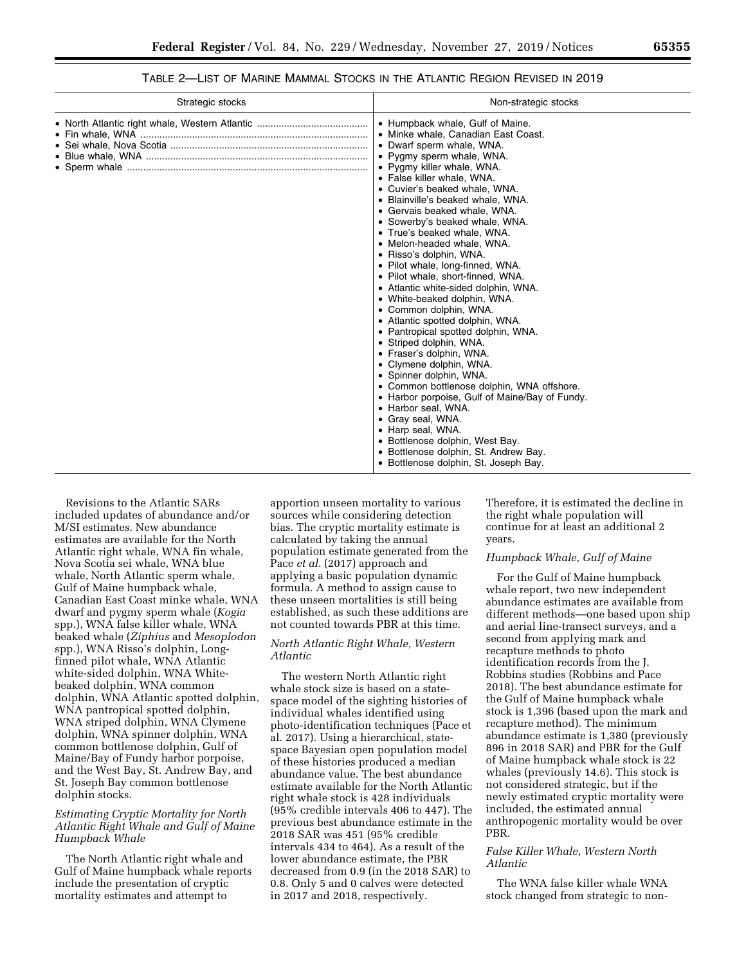| Table 2—List of Marine Mammal Stocks in the Atlantic Region Revised in 2019 |  |
|-----------------------------------------------------------------------------|--|
|-----------------------------------------------------------------------------|--|

| Strategic stocks | Non-strategic stocks                                                                                                                                                                                                                                                                                                                                                                                                                                                                                                                                                                                                                                                                                                                                                                                                                                                                                                                                                                                                                                                                   |
|------------------|----------------------------------------------------------------------------------------------------------------------------------------------------------------------------------------------------------------------------------------------------------------------------------------------------------------------------------------------------------------------------------------------------------------------------------------------------------------------------------------------------------------------------------------------------------------------------------------------------------------------------------------------------------------------------------------------------------------------------------------------------------------------------------------------------------------------------------------------------------------------------------------------------------------------------------------------------------------------------------------------------------------------------------------------------------------------------------------|
|                  | • Humpback whale, Gulf of Maine.<br>• Minke whale, Canadian East Coast.<br>• Dwarf sperm whale, WNA.<br>• Pygmy sperm whale, WNA.<br>• Pygmy killer whale, WNA.<br>• False killer whale, WNA.<br>• Cuvier's beaked whale, WNA.<br>• Blainville's beaked whale, WNA.<br>• Gervais beaked whale, WNA.<br>• Sowerby's beaked whale, WNA.<br>• True's beaked whale, WNA.<br>• Melon-headed whale, WNA.<br>• Risso's dolphin, WNA.<br>• Pilot whale, long-finned, WNA.<br>• Pilot whale, short-finned, WNA.<br>• Atlantic white-sided dolphin, WNA.<br>• White-beaked dolphin, WNA.<br>• Common dolphin, WNA.<br>• Atlantic spotted dolphin, WNA.<br>• Pantropical spotted dolphin, WNA.<br>• Striped dolphin, WNA.<br>• Fraser's dolphin, WNA.<br>• Clymene dolphin, WNA.<br>• Spinner dolphin, WNA.<br>• Common bottlenose dolphin, WNA offshore.<br>• Harbor porpoise, Gulf of Maine/Bay of Fundy.<br>• Harbor seal, WNA.<br>• Gray seal, WNA.<br>• Harp seal, WNA.<br>• Bottlenose dolphin, West Bay.<br>• Bottlenose dolphin, St. Andrew Bay.<br>• Bottlenose dolphin, St. Joseph Bay. |

Revisions to the Atlantic SARs included updates of abundance and/or M/SI estimates. New abundance estimates are available for the North Atlantic right whale, WNA fin whale, Nova Scotia sei whale, WNA blue whale, North Atlantic sperm whale, Gulf of Maine humpback whale, Canadian East Coast minke whale, WNA dwarf and pygmy sperm whale (*Kogia*  spp.), WNA false killer whale, WNA beaked whale (*Ziphius* and *Mesoplodon*  spp.), WNA Risso's dolphin, Longfinned pilot whale, WNA Atlantic white-sided dolphin, WNA Whitebeaked dolphin, WNA common dolphin, WNA Atlantic spotted dolphin, WNA pantropical spotted dolphin, WNA striped dolphin, WNA Clymene dolphin, WNA spinner dolphin, WNA common bottlenose dolphin, Gulf of Maine/Bay of Fundy harbor porpoise, and the West Bay, St. Andrew Bay, and St. Joseph Bay common bottlenose dolphin stocks.

## *Estimating Cryptic Mortality for North Atlantic Right Whale and Gulf of Maine Humpback Whale*

The North Atlantic right whale and Gulf of Maine humpback whale reports include the presentation of cryptic mortality estimates and attempt to

apportion unseen mortality to various sources while considering detection bias. The cryptic mortality estimate is calculated by taking the annual population estimate generated from the Pace *et al.* (2017) approach and applying a basic population dynamic formula. A method to assign cause to these unseen mortalities is still being established, as such these additions are not counted towards PBR at this time.

# *North Atlantic Right Whale, Western Atlantic*

The western North Atlantic right whale stock size is based on a statespace model of the sighting histories of individual whales identified using photo-identification techniques (Pace et al. 2017). Using a hierarchical, statespace Bayesian open population model of these histories produced a median abundance value. The best abundance estimate available for the North Atlantic right whale stock is 428 individuals (95% credible intervals 406 to 447). The previous best abundance estimate in the 2018 SAR was 451 (95% credible intervals 434 to 464). As a result of the lower abundance estimate, the PBR decreased from 0.9 (in the 2018 SAR) to 0.8. Only 5 and 0 calves were detected in 2017 and 2018, respectively.

Therefore, it is estimated the decline in the right whale population will continue for at least an additional 2 years.

### *Humpback Whale, Gulf of Maine*

For the Gulf of Maine humpback whale report, two new independent abundance estimates are available from different methods—one based upon ship and aerial line-transect surveys, and a second from applying mark and recapture methods to photo identification records from the J. Robbins studies (Robbins and Pace 2018). The best abundance estimate for the Gulf of Maine humpback whale stock is 1,396 (based upon the mark and recapture method). The minimum abundance estimate is 1,380 (previously 896 in 2018 SAR) and PBR for the Gulf of Maine humpback whale stock is 22 whales (previously 14.6). This stock is not considered strategic, but if the newly estimated cryptic mortality were included, the estimated annual anthropogenic mortality would be over PBR.

## *False Killer Whale, Western North Atlantic*

The WNA false killer whale WNA stock changed from strategic to non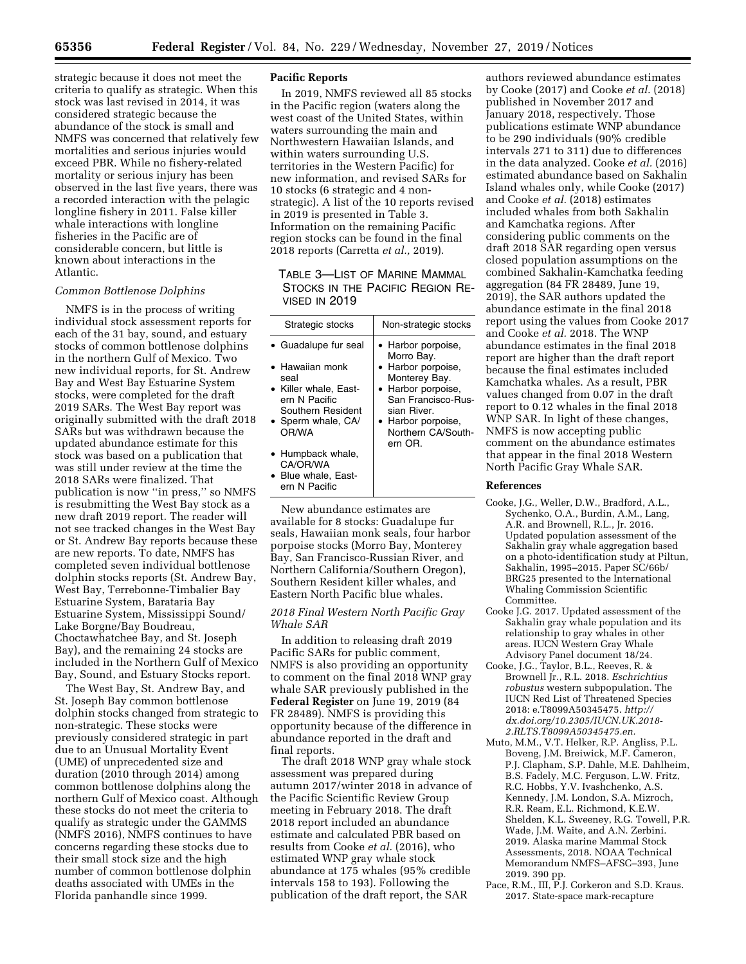strategic because it does not meet the criteria to qualify as strategic. When this stock was last revised in 2014, it was considered strategic because the abundance of the stock is small and NMFS was concerned that relatively few mortalities and serious injuries would exceed PBR. While no fishery-related mortality or serious injury has been observed in the last five years, there was a recorded interaction with the pelagic longline fishery in 2011. False killer whale interactions with longline fisheries in the Pacific are of considerable concern, but little is known about interactions in the Atlantic.

#### *Common Bottlenose Dolphins*

NMFS is in the process of writing individual stock assessment reports for each of the 31 bay, sound, and estuary stocks of common bottlenose dolphins in the northern Gulf of Mexico. Two new individual reports, for St. Andrew Bay and West Bay Estuarine System stocks, were completed for the draft 2019 SARs. The West Bay report was originally submitted with the draft 2018 SARs but was withdrawn because the updated abundance estimate for this stock was based on a publication that was still under review at the time the 2018 SARs were finalized. That publication is now ''in press,'' so NMFS is resubmitting the West Bay stock as a new draft 2019 report. The reader will not see tracked changes in the West Bay or St. Andrew Bay reports because these are new reports. To date, NMFS has completed seven individual bottlenose dolphin stocks reports (St. Andrew Bay, West Bay, Terrebonne-Timbalier Bay Estuarine System, Barataria Bay Estuarine System, Mississippi Sound/ Lake Borgne/Bay Boudreau, Choctawhatchee Bay, and St. Joseph Bay), and the remaining 24 stocks are included in the Northern Gulf of Mexico Bay, Sound, and Estuary Stocks report.

The West Bay, St. Andrew Bay, and St. Joseph Bay common bottlenose dolphin stocks changed from strategic to non-strategic. These stocks were previously considered strategic in part due to an Unusual Mortality Event (UME) of unprecedented size and duration (2010 through 2014) among common bottlenose dolphins along the northern Gulf of Mexico coast. Although these stocks do not meet the criteria to qualify as strategic under the GAMMS (NMFS 2016), NMFS continues to have concerns regarding these stocks due to their small stock size and the high number of common bottlenose dolphin deaths associated with UMEs in the Florida panhandle since 1999.

# **Pacific Reports**

In 2019, NMFS reviewed all 85 stocks in the Pacific region (waters along the west coast of the United States, within waters surrounding the main and Northwestern Hawaiian Islands, and within waters surrounding U.S. territories in the Western Pacific) for new information, and revised SARs for 10 stocks (6 strategic and 4 nonstrategic). A list of the 10 reports revised in 2019 is presented in Table 3. Information on the remaining Pacific region stocks can be found in the final 2018 reports (Carretta *et al.,* 2019).

TABLE 3—LIST OF MARINE MAMMAL STOCKS IN THE PACIFIC REGION RE-VISED IN 2019

| Strategic stocks                                                                                                                              | Non-strategic stocks                                                                                                                                                                      |
|-----------------------------------------------------------------------------------------------------------------------------------------------|-------------------------------------------------------------------------------------------------------------------------------------------------------------------------------------------|
| • Guadalupe fur seal<br>• Hawaiian monk<br>seal<br>• Killer whale, East-<br>ern N Pacific<br>Southern Resident<br>• Sperm whale, CA/<br>OR/WA | • Harbor porpoise,<br>Morro Bay.<br>• Harbor porpoise,<br>Monterey Bay.<br>• Harbor porpoise,<br>San Francisco-Rus-<br>sian River.<br>• Harbor porpoise,<br>Northern CA/South-<br>ern OR. |
| • Humpback whale,<br>CA/OR/WA<br>• Blue whale, East-<br>ern N Pacific                                                                         |                                                                                                                                                                                           |

New abundance estimates are available for 8 stocks: Guadalupe fur seals, Hawaiian monk seals, four harbor porpoise stocks (Morro Bay, Monterey Bay, San Francisco-Russian River, and Northern California/Southern Oregon), Southern Resident killer whales, and Eastern North Pacific blue whales.

#### *2018 Final Western North Pacific Gray Whale SAR*

In addition to releasing draft 2019 Pacific SARs for public comment, NMFS is also providing an opportunity to comment on the final 2018 WNP gray whale SAR previously published in the **Federal Register** on June 19, 2019 (84 FR 28489). NMFS is providing this opportunity because of the difference in abundance reported in the draft and final reports.

The draft 2018 WNP gray whale stock assessment was prepared during autumn 2017/winter 2018 in advance of the Pacific Scientific Review Group meeting in February 2018. The draft 2018 report included an abundance estimate and calculated PBR based on results from Cooke *et al.* (2016), who estimated WNP gray whale stock abundance at 175 whales (95% credible intervals 158 to 193). Following the publication of the draft report, the SAR

authors reviewed abundance estimates by Cooke (2017) and Cooke *et al.* (2018) published in November 2017 and January 2018, respectively. Those publications estimate WNP abundance to be 290 individuals (90% credible intervals 271 to 311) due to differences in the data analyzed. Cooke *et al.* (2016) estimated abundance based on Sakhalin Island whales only, while Cooke (2017) and Cooke *et al.* (2018) estimates included whales from both Sakhalin and Kamchatka regions. After considering public comments on the draft 2018 SAR regarding open versus closed population assumptions on the combined Sakhalin-Kamchatka feeding aggregation (84 FR 28489, June 19, 2019), the SAR authors updated the abundance estimate in the final 2018 report using the values from Cooke 2017 and Cooke *et al.* 2018. The WNP abundance estimates in the final 2018 report are higher than the draft report because the final estimates included Kamchatka whales. As a result, PBR values changed from 0.07 in the draft report to 0.12 whales in the final 2018 WNP SAR. In light of these changes, NMFS is now accepting public comment on the abundance estimates that appear in the final 2018 Western North Pacific Gray Whale SAR.

#### **References**

- Cooke, J.G., Weller, D.W., Bradford, A.L., Sychenko, O.A., Burdin, A.M., Lang, A.R. and Brownell, R.L., Jr. 2016. Updated population assessment of the Sakhalin gray whale aggregation based on a photo-identification study at Piltun, Sakhalin, 1995–2015. Paper SC/66b/ BRG25 presented to the International Whaling Commission Scientific Committee.
- Cooke J.G. 2017. Updated assessment of the Sakhalin gray whale population and its relationship to gray whales in other areas. IUCN Western Gray Whale Advisory Panel document 18/24.
- Cooke, J.G., Taylor, B.L., Reeves, R. & Brownell Jr., R.L. 2018. *Eschrichtius robustus* western subpopulation. The IUCN Red List of Threatened Species 2018: e.T8099A50345475. *[http://](http://dx.doi.org/10.2305/IUCN.UK.2018-2.RLTS.T8099A50345475.en) [dx.doi.org/10.2305/IUCN.UK.2018-](http://dx.doi.org/10.2305/IUCN.UK.2018-2.RLTS.T8099A50345475.en) [2.RLTS.T8099A50345475.en.](http://dx.doi.org/10.2305/IUCN.UK.2018-2.RLTS.T8099A50345475.en)*
- Muto, M.M., V.T. Helker, R.P. Angliss, P.L. Boveng, J.M. Breiwick, M.F. Cameron, P.J. Clapham, S.P. Dahle, M.E. Dahlheim, B.S. Fadely, M.C. Ferguson, L.W. Fritz, R.C. Hobbs, Y.V. Ivashchenko, A.S. Kennedy, J.M. London, S.A. Mizroch, R.R. Ream, E.L. Richmond, K.E.W. Shelden, K.L. Sweeney, R.G. Towell, P.R. Wade, J.M. Waite, and A.N. Zerbini. 2019. Alaska marine Mammal Stock Assessments, 2018. NOAA Technical Memorandum NMFS–AFSC–393, June 2019. 390 pp.
- Pace, R.M., III, P.J. Corkeron and S.D. Kraus. 2017. State-space mark-recapture